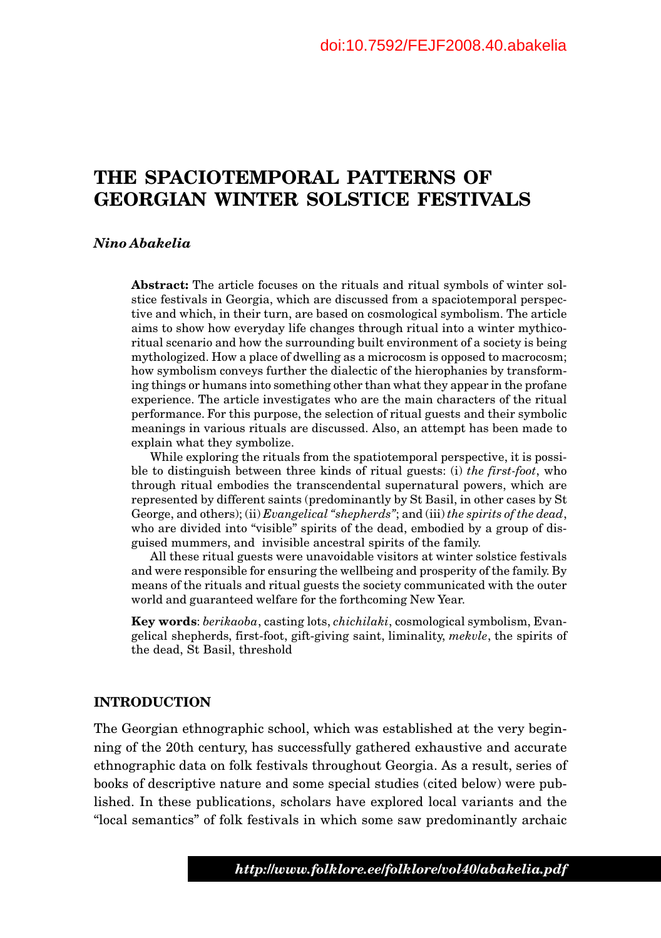# **THE SPACIOTEMPORAL PATTERNS OF GEORGIAN WINTER SOLSTICE FESTIVALS**

# *Nino Abakelia*

**Abstract:** The article focuses on the rituals and ritual symbols of winter solstice festivals in Georgia, which are discussed from a spaciotemporal perspective and which, in their turn, are based on cosmological symbolism. The article aims to show how everyday life changes through ritual into a winter mythicoritual scenario and how the surrounding built environment of a society is being mythologized. How a place of dwelling as a microcosm is opposed to macrocosm; how symbolism conveys further the dialectic of the hierophanies by transforming things or humans into something other than what they appear in the profane experience. The article investigates who are the main characters of the ritual performance. For this purpose, the selection of ritual guests and their symbolic meanings in various rituals are discussed. Also, an attempt has been made to explain what they symbolize.

While exploring the rituals from the spatiotemporal perspective, it is possible to distinguish between three kinds of ritual guests: (i) *the first-foot*, who through ritual embodies the transcendental supernatural powers, which are represented by different saints (predominantly by St Basil, in other cases by St George, and others); (ii) *Evangelical "shepherds"*; and (iii) *the spirits of the dead*, who are divided into "visible" spirits of the dead, embodied by a group of disguised mummers, and invisible ancestral spirits of the family.

All these ritual guests were unavoidable visitors at winter solstice festivals and were responsible for ensuring the wellbeing and prosperity of the family. By means of the rituals and ritual guests the society communicated with the outer world and guaranteed welfare for the forthcoming New Year.

**Key words**: *berikaoba*, casting lots, *chichilaki*, cosmological symbolism, Evangelical shepherds, first-foot, gift-giving saint, liminality, *mekvle*, the spirits of the dead, St Basil, threshold

# **INTRODUCTION**

The Georgian ethnographic school, which was established at the very beginning of the 20th century, has successfully gathered exhaustive and accurate ethnographic data on folk festivals throughout Georgia. As a result, series of books of descriptive nature and some special studies (cited below) were published. In these publications, scholars have explored local variants and the "local semantics" of folk festivals in which some saw predominantly archaic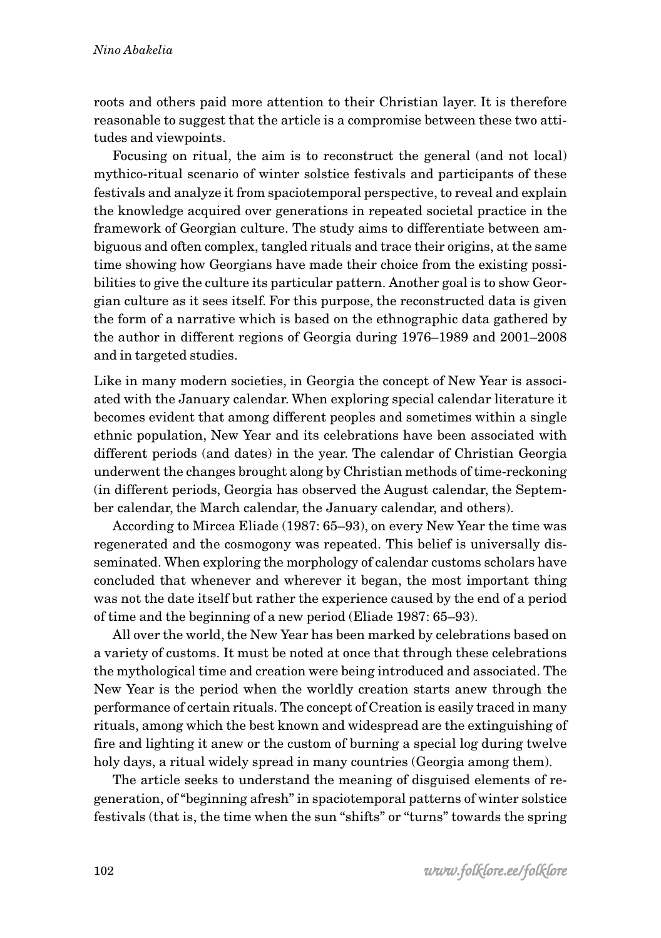roots and others paid more attention to their Christian layer. It is therefore reasonable to suggest that the article is a compromise between these two attitudes and viewpoints.

Focusing on ritual, the aim is to reconstruct the general (and not local) mythico-ritual scenario of winter solstice festivals and participants of these festivals and analyze it from spaciotemporal perspective, to reveal and explain the knowledge acquired over generations in repeated societal practice in the framework of Georgian culture. The study aims to differentiate between ambiguous and often complex, tangled rituals and trace their origins, at the same time showing how Georgians have made their choice from the existing possibilities to give the culture its particular pattern. Another goal is to show Georgian culture as it sees itself. For this purpose, the reconstructed data is given the form of a narrative which is based on the ethnographic data gathered by the author in different regions of Georgia during 1976–1989 and 2001–2008 and in targeted studies.

Like in many modern societies, in Georgia the concept of New Year is associated with the January calendar. When exploring special calendar literature it becomes evident that among different peoples and sometimes within a single ethnic population, New Year and its celebrations have been associated with different periods (and dates) in the year. The calendar of Christian Georgia underwent the changes brought along by Christian methods of time-reckoning (in different periods, Georgia has observed the August calendar, the September calendar, the March calendar, the January calendar, and others).

According to Mircea Eliade (1987: 65–93), on every New Year the time was regenerated and the cosmogony was repeated. This belief is universally disseminated. When exploring the morphology of calendar customs scholars have concluded that whenever and wherever it began, the most important thing was not the date itself but rather the experience caused by the end of a period of time and the beginning of a new period (Eliade 1987: 65–93).

All over the world, the New Year has been marked by celebrations based on a variety of customs. It must be noted at once that through these celebrations the mythological time and creation were being introduced and associated. The New Year is the period when the worldly creation starts anew through the performance of certain rituals. The concept of Creation is easily traced in many rituals, among which the best known and widespread are the extinguishing of fire and lighting it anew or the custom of burning a special log during twelve holy days, a ritual widely spread in many countries (Georgia among them).

The article seeks to understand the meaning of disguised elements of regeneration, of "beginning afresh" in spaciotemporal patterns of winter solstice festivals (that is, the time when the sun "shifts" or "turns" towards the spring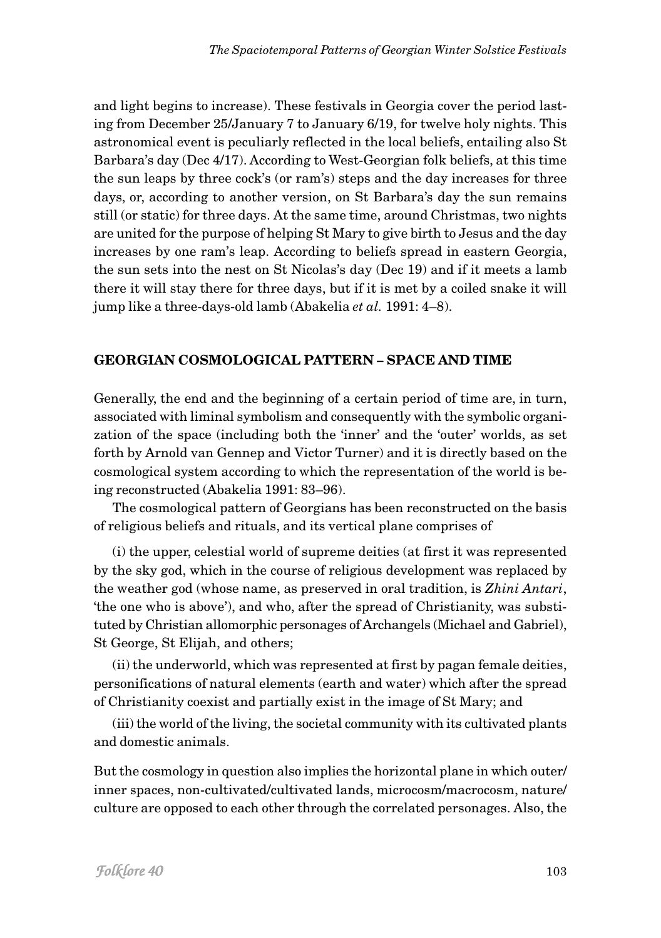and light begins to increase). These festivals in Georgia cover the period lasting from December 25/January 7 to January 6/19, for twelve holy nights. This astronomical event is peculiarly reflected in the local beliefs, entailing also St Barbara's day (Dec 4/17). According to West-Georgian folk beliefs, at this time the sun leaps by three cock's (or ram's) steps and the day increases for three days, or, according to another version, on St Barbara's day the sun remains still (or static) for three days. At the same time, around Christmas, two nights are united for the purpose of helping St Mary to give birth to Jesus and the day increases by one ram's leap. According to beliefs spread in eastern Georgia, the sun sets into the nest on St Nicolas's day (Dec 19) and if it meets a lamb there it will stay there for three days, but if it is met by a coiled snake it will jump like a three-days-old lamb (Abakelia *et al.* 1991: 4–8).

# **GEORGIAN COSMOLOGICAL PATTERN – SPACE AND TIME**

Generally, the end and the beginning of a certain period of time are, in turn, associated with liminal symbolism and consequently with the symbolic organization of the space (including both the 'inner' and the 'outer' worlds, as set forth by Arnold van Gennep and Victor Turner) and it is directly based on the cosmological system according to which the representation of the world is being reconstructed (Abakelia 1991: 83–96).

The cosmological pattern of Georgians has been reconstructed on the basis of religious beliefs and rituals, and its vertical plane comprises of

(i) the upper, celestial world of supreme deities (at first it was represented by the sky god, which in the course of religious development was replaced by the weather god (whose name, as preserved in oral tradition, is *Zhini Antari*, 'the one who is above'), and who, after the spread of Christianity, was substituted by Christian allomorphic personages of Archangels (Michael and Gabriel), St George, St Elijah, and others;

(ii) the underworld, which was represented at first by pagan female deities, personifications of natural elements (earth and water) which after the spread of Christianity coexist and partially exist in the image of St Mary; and

(iii) the world of the living, the societal community with its cultivated plants and domestic animals.

But the cosmology in question also implies the horizontal plane in which outer/ inner spaces, non-cultivated/cultivated lands, microcosm/macrocosm, nature/ culture are opposed to each other through the correlated personages. Also, the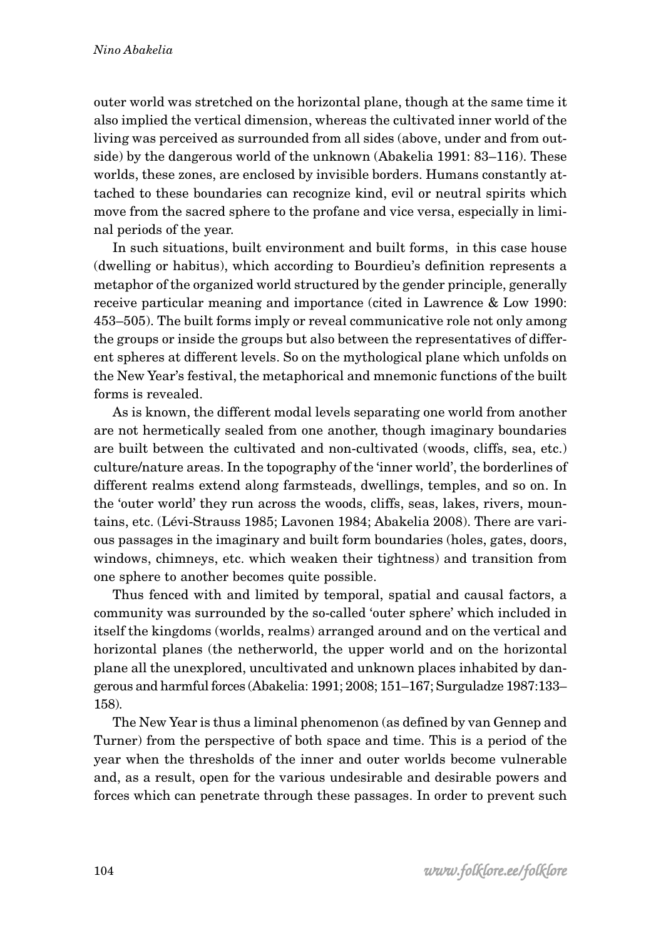outer world was stretched on the horizontal plane, though at the same time it also implied the vertical dimension, whereas the cultivated inner world of the living was perceived as surrounded from all sides (above, under and from outside) by the dangerous world of the unknown (Abakelia 1991: 83–116). These worlds, these zones, are enclosed by invisible borders. Humans constantly attached to these boundaries can recognize kind, evil or neutral spirits which move from the sacred sphere to the profane and vice versa, especially in liminal periods of the year.

In such situations, built environment and built forms, in this case house (dwelling or habitus), which according to Bourdieu's definition represents a metaphor of the organized world structured by the gender principle, generally receive particular meaning and importance (cited in Lawrence & Low 1990: 453–505). The built forms imply or reveal communicative role not only among the groups or inside the groups but also between the representatives of different spheres at different levels. So on the mythological plane which unfolds on the New Year's festival, the metaphorical and mnemonic functions of the built forms is revealed.

As is known, the different modal levels separating one world from another are not hermetically sealed from one another, though imaginary boundaries are built between the cultivated and non-cultivated (woods, cliffs, sea, etc.) culture/nature areas. In the topography of the 'inner world', the borderlines of different realms extend along farmsteads, dwellings, temples, and so on. In the 'outer world' they run across the woods, cliffs, seas, lakes, rivers, mountains, etc. (Lévi-Strauss 1985; Lavonen 1984; Abakelia 2008). There are various passages in the imaginary and built form boundaries (holes, gates, doors, windows, chimneys, etc. which weaken their tightness) and transition from one sphere to another becomes quite possible.

Thus fenced with and limited by temporal, spatial and causal factors, a community was surrounded by the so-called 'outer sphere' which included in itself the kingdoms (worlds, realms) arranged around and on the vertical and horizontal planes (the netherworld, the upper world and on the horizontal plane all the unexplored, uncultivated and unknown places inhabited by dangerous and harmful forces (Abakelia: 1991; 2008; 151–167; Surguladze 1987:133– 158).

The New Year is thus a liminal phenomenon (as defined by van Gennep and Turner) from the perspective of both space and time. This is a period of the year when the thresholds of the inner and outer worlds become vulnerable and, as a result, open for the various undesirable and desirable powers and forces which can penetrate through these passages. In order to prevent such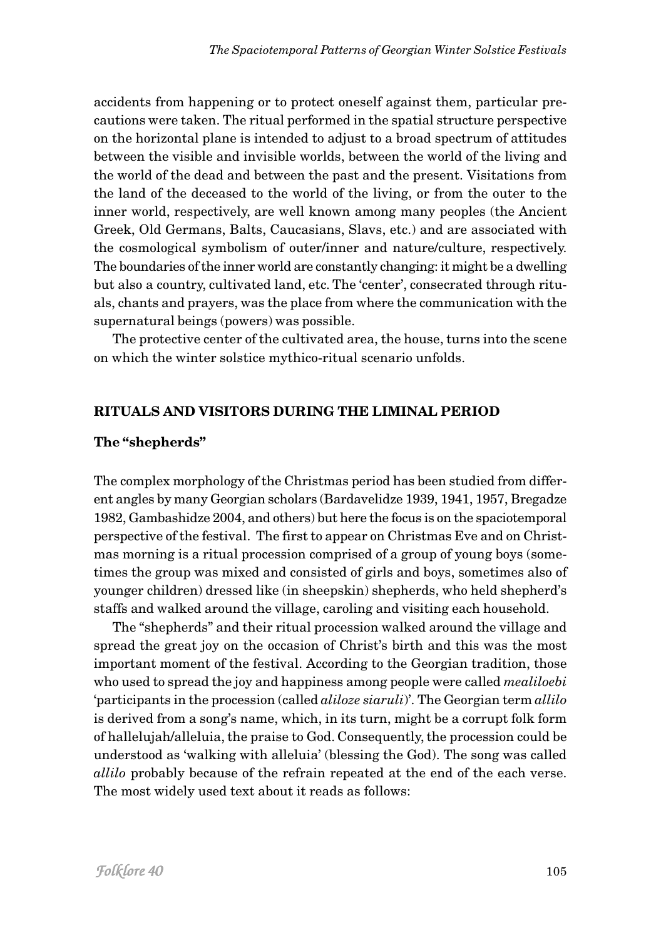accidents from happening or to protect oneself against them, particular precautions were taken. The ritual performed in the spatial structure perspective on the horizontal plane is intended to adjust to a broad spectrum of attitudes between the visible and invisible worlds, between the world of the living and the world of the dead and between the past and the present. Visitations from the land of the deceased to the world of the living, or from the outer to the inner world, respectively, are well known among many peoples (the Ancient Greek, Old Germans, Balts, Caucasians, Slavs, etc.) and are associated with the cosmological symbolism of outer/inner and nature/culture, respectively. The boundaries of the inner world are constantly changing: it might be a dwelling but also a country, cultivated land, etc. The 'center', consecrated through rituals, chants and prayers, was the place from where the communication with the supernatural beings (powers) was possible.

The protective center of the cultivated area, the house, turns into the scene on which the winter solstice mythico-ritual scenario unfolds.

## **RITUALS AND VISITORS DURING THE LIMINAL PERIOD**

### **The "shepherds"**

The complex morphology of the Christmas period has been studied from different angles by many Georgian scholars (Bardavelidze 1939, 1941, 1957, Bregadze 1982, Gambashidze 2004, and others) but here the focus is on the spaciotemporal perspective of the festival. The first to appear on Christmas Eve and on Christmas morning is a ritual procession comprised of a group of young boys (sometimes the group was mixed and consisted of girls and boys, sometimes also of younger children) dressed like (in sheepskin) shepherds, who held shepherd's staffs and walked around the village, caroling and visiting each household.

The "shepherds" and their ritual procession walked around the village and spread the great joy on the occasion of Christ's birth and this was the most important moment of the festival. According to the Georgian tradition, those who used to spread the joy and happiness among people were called *mealiloebi* 'participants in the procession (called *aliloze siaruli*)'. The Georgian term *allilo* is derived from a song's name, which, in its turn, might be a corrupt folk form of hallelujah/alleluia, the praise to God. Consequently, the procession could be understood as 'walking with alleluia' (blessing the God). The song was called *allilo* probably because of the refrain repeated at the end of the each verse. The most widely used text about it reads as follows: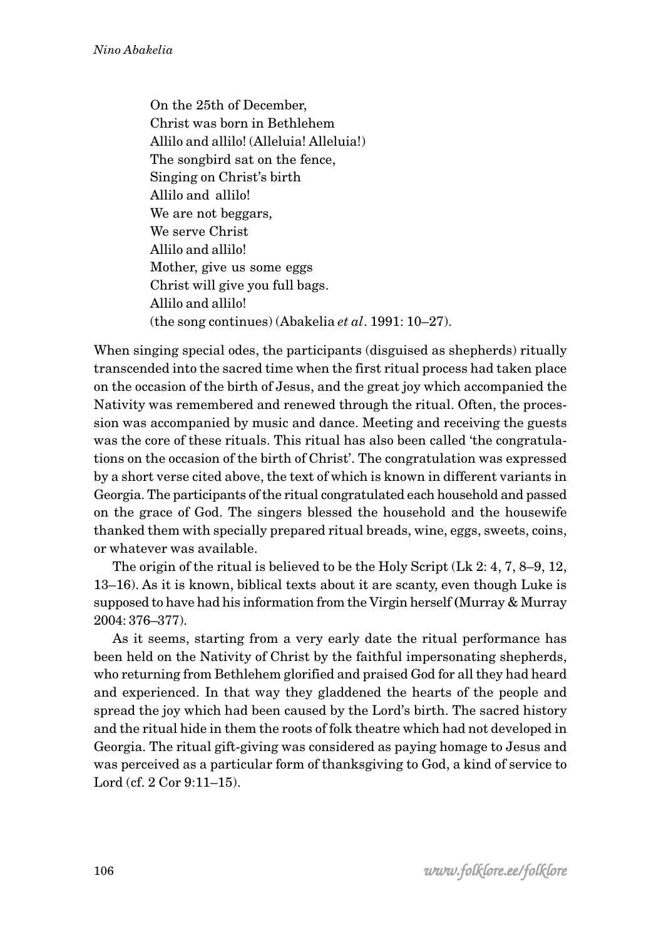On the 25th of December, Christ was born in Bethlehem Allilo and allilo! (Alleluia! Alleluia!) The songbird sat on the fence, Singing on Christ's birth Allilo and allilo! We are not beggars, We serve Christ Allilo and allilo! Mother, give us some eggs Christ will give you full bags. Allilo and allilo! (the song continues) (Abakelia *et al*. 1991: 10–27).

When singing special odes, the participants (disguised as shepherds) ritually transcended into the sacred time when the first ritual process had taken place on the occasion of the birth of Jesus, and the great joy which accompanied the Nativity was remembered and renewed through the ritual. Often, the procession was accompanied by music and dance. Meeting and receiving the guests was the core of these rituals. This ritual has also been called 'the congratulations on the occasion of the birth of Christ'. The congratulation was expressed by a short verse cited above, the text of which is known in different variants in Georgia. The participants of the ritual congratulated each household and passed on the grace of God. The singers blessed the household and the housewife thanked them with specially prepared ritual breads, wine, eggs, sweets, coins, or whatever was available.

The origin of the ritual is believed to be the Holy Script (Lk 2: 4, 7, 8–9, 12, 13–16). As it is known, biblical texts about it are scanty, even though Luke is supposed to have had his information from the Virgin herself **(**Murray & Murray 2004: 376–377).

As it seems, starting from a very early date the ritual performance has been held on the Nativity of Christ by the faithful impersonating shepherds, who returning from Bethlehem glorified and praised God for all they had heard and experienced. In that way they gladdened the hearts of the people and spread the joy which had been caused by the Lord's birth. The sacred history and the ritual hide in them the roots of folk theatre which had not developed in Georgia. The ritual gift-giving was considered as paying homage to Jesus and was perceived as a particular form of thanksgiving to God, a kind of service to Lord (cf. 2 Cor 9:11–15).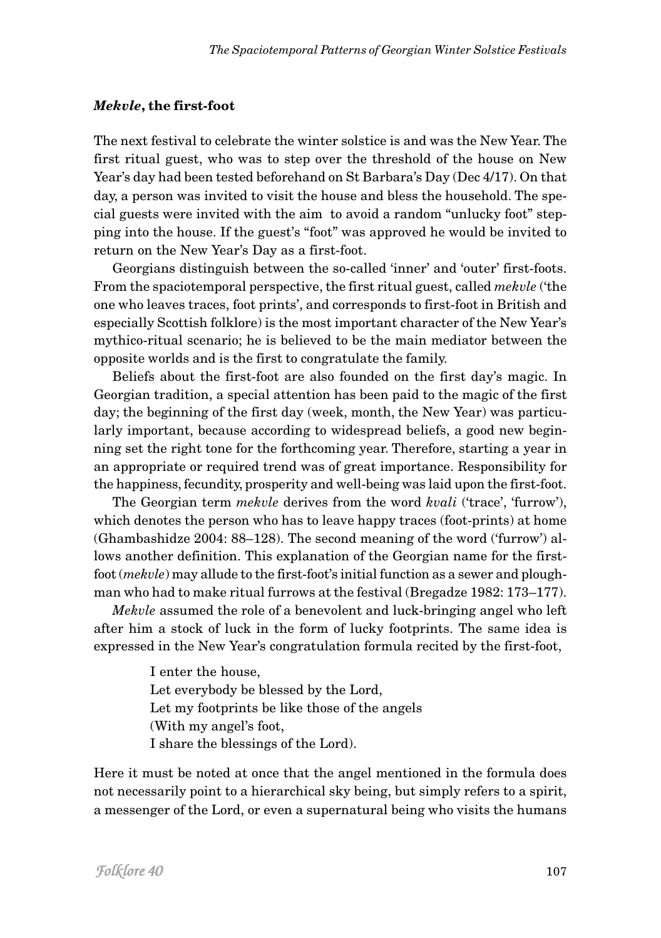#### *Mekvle***, the first-foot**

The next festival to celebrate the winter solstice is and was the New Year. The first ritual guest, who was to step over the threshold of the house on New Year's day had been tested beforehand on St Barbara's Day (Dec 4/17). On that day, a person was invited to visit the house and bless the household. The special guests were invited with the aim to avoid a random "unlucky foot" stepping into the house. If the guest's "foot" was approved he would be invited to return on the New Year's Day as a first-foot.

Georgians distinguish between the so-called 'inner' and 'outer' first-foots. From the spaciotemporal perspective, the first ritual guest, called *mekvle* ('the one who leaves traces, foot prints', and corresponds to first-foot in British and especially Scottish folklore) is the most important character of the New Year's mythico-ritual scenario; he is believed to be the main mediator between the opposite worlds and is the first to congratulate the family.

Beliefs about the first-foot are also founded on the first day's magic. In Georgian tradition, a special attention has been paid to the magic of the first day; the beginning of the first day (week, month, the New Year) was particularly important, because according to widespread beliefs, a good new beginning set the right tone for the forthcoming year. Therefore, starting a year in an appropriate or required trend was of great importance. Responsibility for the happiness, fecundity, prosperity and well-being was laid upon the first-foot.

The Georgian term *mekvle* derives from the word *kvali* ('trace', 'furrow'), which denotes the person who has to leave happy traces (foot-prints) at home (Ghambashidze 2004: 88–128). The second meaning of the word ('furrow') allows another definition. This explanation of the Georgian name for the firstfoot (*mekvle*) may allude to the first-foot's initial function as a sewer and ploughman who had to make ritual furrows at the festival (Bregadze 1982: 173–177).

*Mekvle* assumed the role of a benevolent and luck-bringing angel who left after him a stock of luck in the form of lucky footprints. The same idea is expressed in the New Year's congratulation formula recited by the first-foot,

> I enter the house, Let everybody be blessed by the Lord, Let my footprints be like those of the angels (With my angel's foot, I share the blessings of the Lord).

Here it must be noted at once that the angel mentioned in the formula does not necessarily point to a hierarchical sky being, but simply refers to a spirit, a messenger of the Lord, or even a supernatural being who visits the humans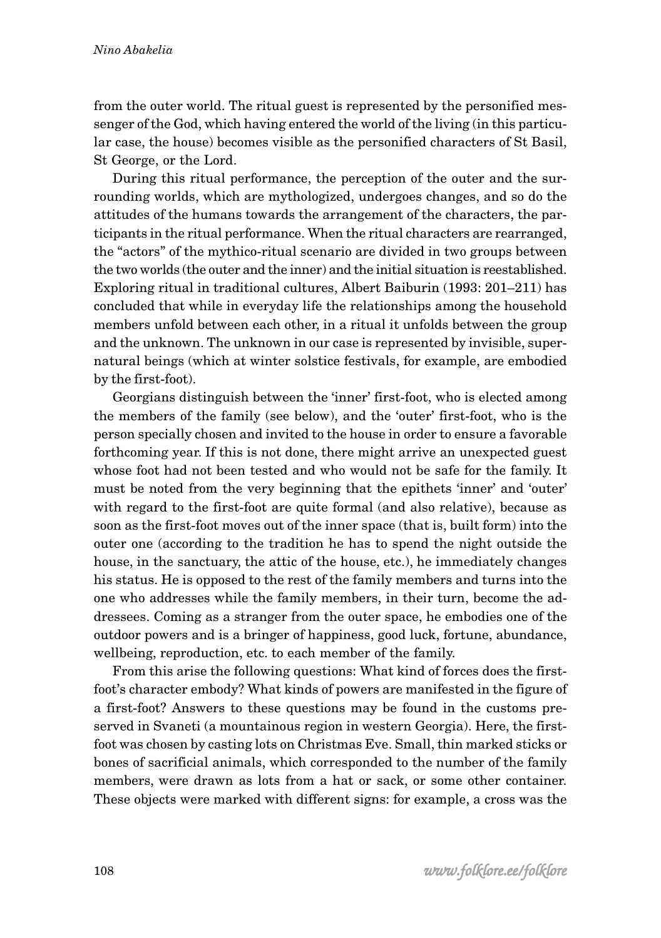from the outer world. The ritual guest is represented by the personified messenger of the God, which having entered the world of the living (in this particular case, the house) becomes visible as the personified characters of St Basil, St George, or the Lord.

During this ritual performance, the perception of the outer and the surrounding worlds, which are mythologized, undergoes changes, and so do the attitudes of the humans towards the arrangement of the characters, the participants in the ritual performance. When the ritual characters are rearranged, the "actors" of the mythico-ritual scenario are divided in two groups between the two worlds (the outer and the inner) and the initial situation is reestablished. Exploring ritual in traditional cultures, Albert Baiburin (1993: 201–211) has concluded that while in everyday life the relationships among the household members unfold between each other, in a ritual it unfolds between the group and the unknown. The unknown in our case is represented by invisible, supernatural beings (which at winter solstice festivals, for example, are embodied by the first-foot).

Georgians distinguish between the 'inner' first-foot, who is elected among the members of the family (see below), and the 'outer' first-foot, who is the person specially chosen and invited to the house in order to ensure a favorable forthcoming year. If this is not done, there might arrive an unexpected guest whose foot had not been tested and who would not be safe for the family. It must be noted from the very beginning that the epithets 'inner' and 'outer' with regard to the first-foot are quite formal (and also relative), because as soon as the first-foot moves out of the inner space (that is, built form) into the outer one (according to the tradition he has to spend the night outside the house, in the sanctuary, the attic of the house, etc.), he immediately changes his status. He is opposed to the rest of the family members and turns into the one who addresses while the family members, in their turn, become the addressees. Coming as a stranger from the outer space, he embodies one of the outdoor powers and is a bringer of happiness, good luck, fortune, abundance, wellbeing, reproduction, etc. to each member of the family.

From this arise the following questions: What kind of forces does the firstfoot's character embody? What kinds of powers are manifested in the figure of a first-foot? Answers to these questions may be found in the customs preserved in Svaneti (a mountainous region in western Georgia). Here, the firstfoot was chosen by casting lots on Christmas Eve. Small, thin marked sticks or bones of sacrificial animals, which corresponded to the number of the family members, were drawn as lots from a hat or sack, or some other container. These objects were marked with different signs: for example, a cross was the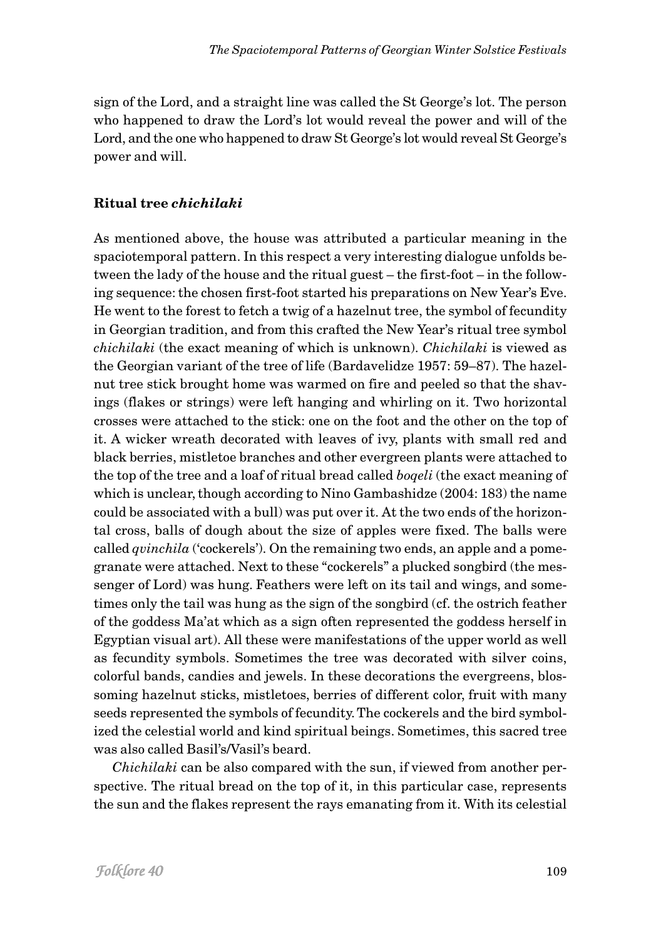sign of the Lord, and a straight line was called the St George's lot. The person who happened to draw the Lord's lot would reveal the power and will of the Lord, and the one who happened to draw St George's lot would reveal St George's power and will.

# **Ritual tree** *chichilaki*

As mentioned above, the house was attributed a particular meaning in the spaciotemporal pattern. In this respect a very interesting dialogue unfolds between the lady of the house and the ritual guest – the first-foot – in the following sequence: the chosen first-foot started his preparations on New Year's Eve. He went to the forest to fetch a twig of a hazelnut tree, the symbol of fecundity in Georgian tradition, and from this crafted the New Year's ritual tree symbol *chichilaki* (the exact meaning of which is unknown). *Chichilaki* is viewed as the Georgian variant of the tree of life (Bardavelidze 1957: 59–87). The hazelnut tree stick brought home was warmed on fire and peeled so that the shavings (flakes or strings) were left hanging and whirling on it. Two horizontal crosses were attached to the stick: one on the foot and the other on the top of it. A wicker wreath decorated with leaves of ivy, plants with small red and black berries, mistletoe branches and other evergreen plants were attached to the top of the tree and a loaf of ritual bread called *boqeli* (the exact meaning of which is unclear, though according to Nino Gambashidze (2004: 183) the name could be associated with a bull) was put over it. At the two ends of the horizontal cross, balls of dough about the size of apples were fixed. The balls were called *qvinchila* ('cockerels'). On the remaining two ends, an apple and a pomegranate were attached. Next to these "cockerels" a plucked songbird (the messenger of Lord) was hung. Feathers were left on its tail and wings, and sometimes only the tail was hung as the sign of the songbird (cf. the ostrich feather of the goddess Ma'at which as a sign often represented the goddess herself in Egyptian visual art). All these were manifestations of the upper world as well as fecundity symbols. Sometimes the tree was decorated with silver coins, colorful bands, candies and jewels. In these decorations the evergreens, blossoming hazelnut sticks, mistletoes, berries of different color, fruit with many seeds represented the symbols of fecundity. The cockerels and the bird symbolized the celestial world and kind spiritual beings. Sometimes, this sacred tree was also called Basil's/Vasil's beard.

*Chichilaki* can be also compared with the sun, if viewed from another perspective. The ritual bread on the top of it, in this particular case, represents the sun and the flakes represent the rays emanating from it. With its celestial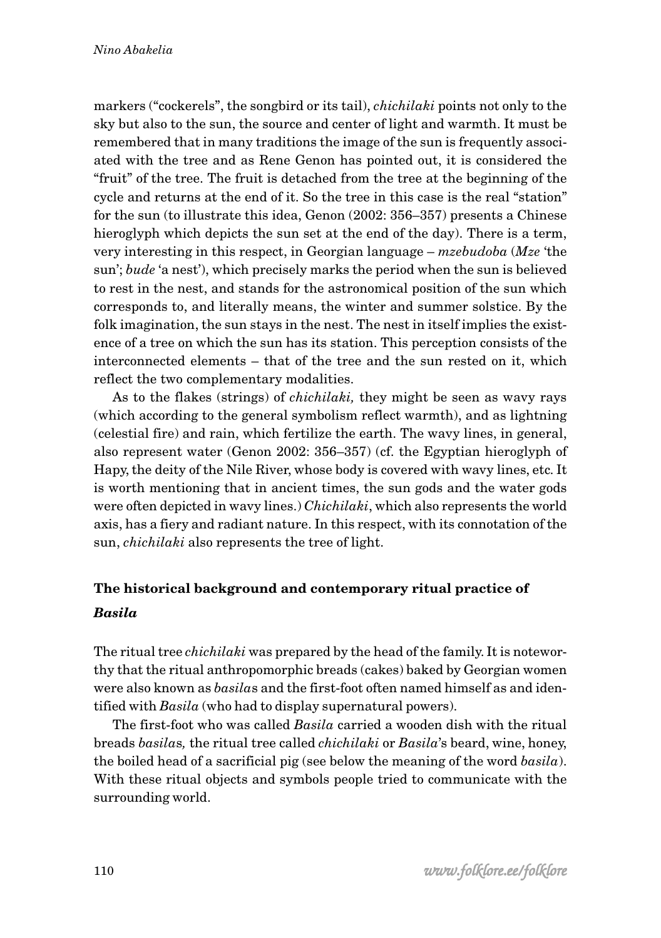markers ("cockerels", the songbird or its tail), *chichilaki* points not only to the sky but also to the sun, the source and center of light and warmth. It must be remembered that in many traditions the image of the sun is frequently associated with the tree and as Rene Genon has pointed out, it is considered the "fruit" of the tree. The fruit is detached from the tree at the beginning of the cycle and returns at the end of it. So the tree in this case is the real "station" for the sun (to illustrate this idea, Genon (2002: 356–357) presents a Chinese hieroglyph which depicts the sun set at the end of the day). There is a term, very interesting in this respect, in Georgian language – *mzebudoba* (*Mze* 'the sun'; *bude* 'a nest'), which precisely marks the period when the sun is believed to rest in the nest, and stands for the astronomical position of the sun which corresponds to, and literally means, the winter and summer solstice. By the folk imagination, the sun stays in the nest. The nest in itself implies the existence of a tree on which the sun has its station. This perception consists of the interconnected elements – that of the tree and the sun rested on it, which reflect the two complementary modalities.

As to the flakes (strings) of *chichilaki,* they might be seen as wavy rays (which according to the general symbolism reflect warmth), and as lightning (celestial fire) and rain, which fertilize the earth. The wavy lines, in general, also represent water (Genon 2002: 356–357) (cf. the Egyptian hieroglyph of Hapy, the deity of the Nile River, whose body is covered with wavy lines, etc. It is worth mentioning that in ancient times, the sun gods and the water gods were often depicted in wavy lines.) *Chichilaki*, which also represents the world axis, has a fiery and radiant nature. In this respect, with its connotation of the sun, *chichilaki* also represents the tree of light.

# **The historical background and contemporary ritual practice of** *Basila*

The ritual tree *chichilaki* was prepared by the head of the family. It is noteworthy that the ritual anthropomorphic breads (cakes) baked by Georgian women were also known as *basila*s and the first-foot often named himself as and identified with *Basila* (who had to display supernatural powers).

The first-foot who was called *Basila* carried a wooden dish with the ritual breads *basila*s*,* the ritual tree called *chichilaki* or *Basila*'s beard, wine, honey, the boiled head of a sacrificial pig (see below the meaning of the word *basila*). With these ritual objects and symbols people tried to communicate with the surrounding world.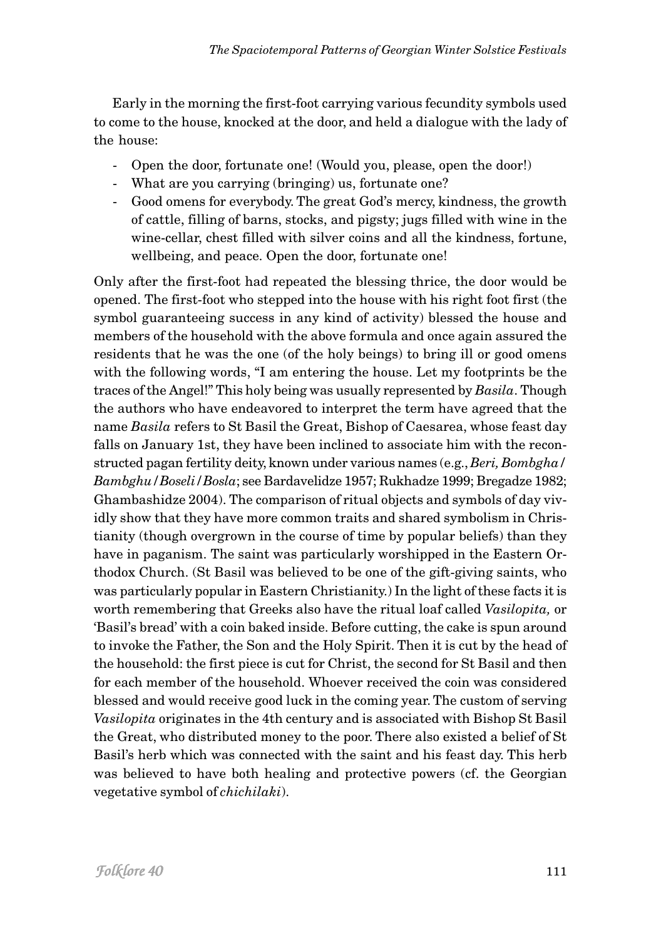Early in the morning the first-foot carrying various fecundity symbols used to come to the house, knocked at the door, and held a dialogue with the lady of the house:

- Open the door, fortunate one! (Would you, please, open the door!)
- What are you carrying (bringing) us, fortunate one?
- Good omens for everybody. The great God's mercy, kindness, the growth of cattle, filling of barns, stocks, and pigsty; jugs filled with wine in the wine-cellar, chest filled with silver coins and all the kindness, fortune, wellbeing, and peace. Open the door, fortunate one!

Only after the first-foot had repeated the blessing thrice, the door would be opened. The first-foot who stepped into the house with his right foot first (the symbol guaranteeing success in any kind of activity) blessed the house and members of the household with the above formula and once again assured the residents that he was the one (of the holy beings) to bring ill or good omens with the following words, "I am entering the house. Let my footprints be the traces of the Angel!" This holy being was usually represented by *Basila*. Though the authors who have endeavored to interpret the term have agreed that the name *Basila* refers to St Basil the Great, Bishop of Caesarea, whose feast day falls on January 1st, they have been inclined to associate him with the reconstructed pagan fertility deity, known under various names (e.g., *Beri, Bombgha/ Bambghu/Boseli/Bosla*; see Bardavelidze 1957; Rukhadze 1999; Bregadze 1982; Ghambashidze 2004). The comparison of ritual objects and symbols of day vividly show that they have more common traits and shared symbolism in Christianity (though overgrown in the course of time by popular beliefs) than they have in paganism. The saint was particularly worshipped in the Eastern Orthodox Church. (St Basil was believed to be one of the gift-giving saints, who was particularly popular in Eastern Christianity.) In the light of these facts it is worth remembering that Greeks also have the ritual loaf called *Vasilopita,* or 'Basil's bread' with a coin baked inside. Before cutting, the cake is spun around to invoke the Father, the Son and the Holy Spirit. Then it is cut by the head of the household: the first piece is cut for Christ, the second for St Basil and then for each member of the household. Whoever received the coin was considered blessed and would receive good luck in the coming year. The custom of serving *Vasilopita* originates in the 4th century and is associated with Bishop St Basil the Great, who distributed money to the poor. There also existed a belief of St Basil's herb which was connected with the saint and his feast day. This herb was believed to have both healing and protective powers (cf. the Georgian vegetative symbol of *chichilaki*).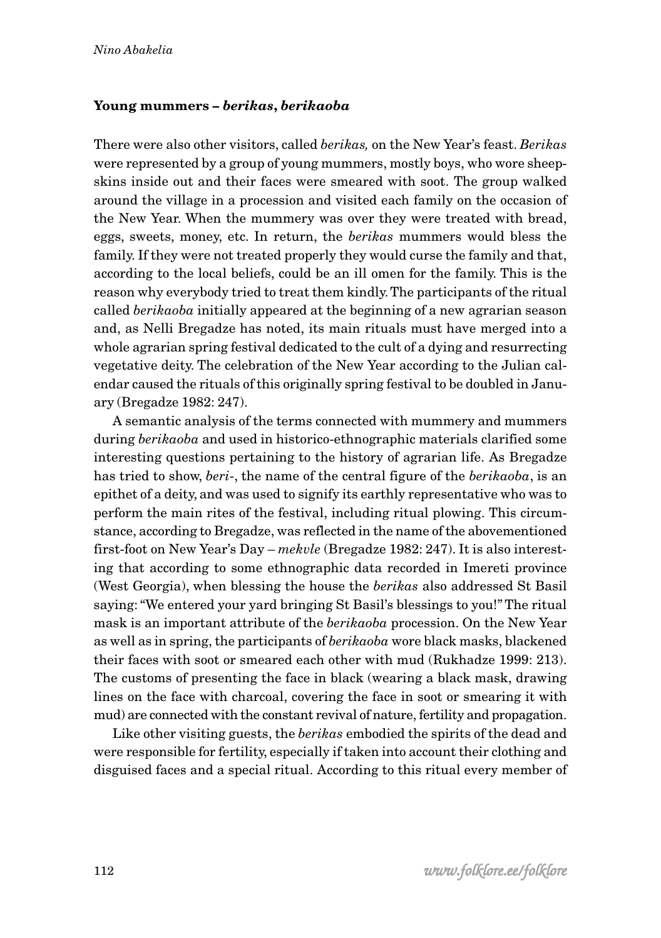# **Young mummers –** *berikas***,** *berikaoba*

There were also other visitors, called *berikas,* on the New Year's feast. *Berikas* were represented by a group of young mummers, mostly boys, who wore sheepskins inside out and their faces were smeared with soot. The group walked around the village in a procession and visited each family on the occasion of the New Year. When the mummery was over they were treated with bread, eggs, sweets, money, etc. In return, the *berikas* mummers would bless the family. If they were not treated properly they would curse the family and that, according to the local beliefs, could be an ill omen for the family. This is the reason why everybody tried to treat them kindly. The participants of the ritual called *berikaoba* initially appeared at the beginning of a new agrarian season and, as Nelli Bregadze has noted, its main rituals must have merged into a whole agrarian spring festival dedicated to the cult of a dying and resurrecting vegetative deity. The celebration of the New Year according to the Julian calendar caused the rituals of this originally spring festival to be doubled in January (Bregadze 1982: 247).

A semantic analysis of the terms connected with mummery and mummers during *berikaoba* and used in historico-ethnographic materials clarified some interesting questions pertaining to the history of agrarian life. As Bregadze has tried to show, *beri*-, the name of the central figure of the *berikaoba*, is an epithet of a deity, and was used to signify its earthly representative who was to perform the main rites of the festival, including ritual plowing. This circumstance, according to Bregadze, was reflected in the name of the abovementioned first-foot on New Year's Day – *mekvle* (Bregadze 1982: 247). It is also interesting that according to some ethnographic data recorded in Imereti province (West Georgia), when blessing the house the *berikas* also addressed St Basil saying: "We entered your yard bringing St Basil's blessings to you!" The ritual mask is an important attribute of the *berikaoba* procession. On the New Year as well as in spring, the participants of *berikaoba* wore black masks, blackened their faces with soot or smeared each other with mud (Rukhadze 1999: 213). The customs of presenting the face in black (wearing a black mask, drawing lines on the face with charcoal, covering the face in soot or smearing it with mud) are connected with the constant revival of nature, fertility and propagation.

Like other visiting guests, the *berikas* embodied the spirits of the dead and were responsible for fertility, especially if taken into account their clothing and disguised faces and a special ritual. According to this ritual every member of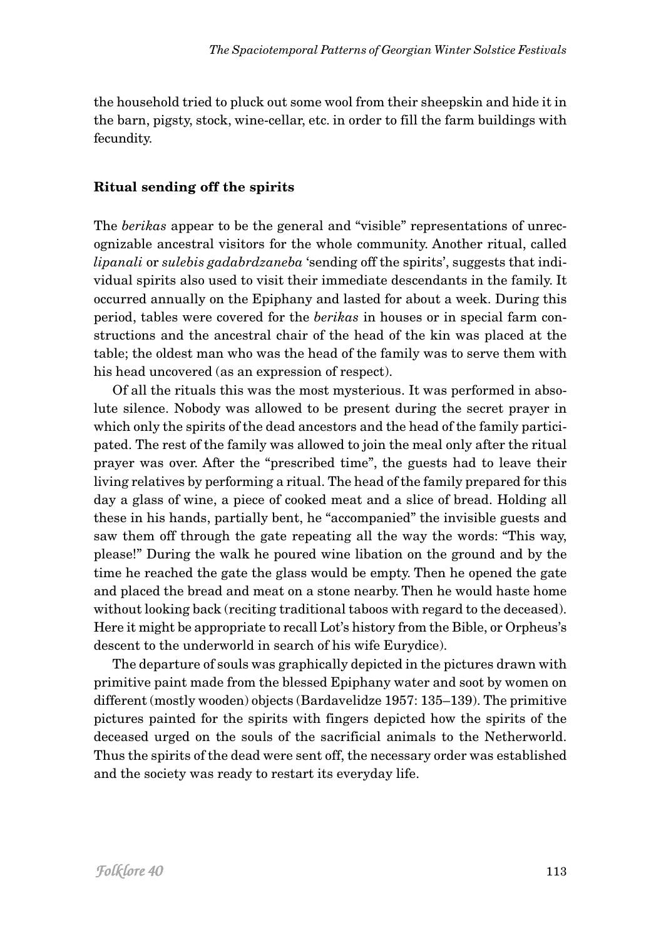the household tried to pluck out some wool from their sheepskin and hide it in the barn, pigsty, stock, wine-cellar, etc. in order to fill the farm buildings with fecundity.

# **Ritual sending off the spirits**

The *berikas* appear to be the general and "visible" representations of unrecognizable ancestral visitors for the whole community. Another ritual, called *lipanali* or *sulebis gadabrdzaneba* 'sending off the spirits', suggests that individual spirits also used to visit their immediate descendants in the family. It occurred annually on the Epiphany and lasted for about a week. During this period, tables were covered for the *berikas* in houses or in special farm constructions and the ancestral chair of the head of the kin was placed at the table; the oldest man who was the head of the family was to serve them with his head uncovered (as an expression of respect).

Of all the rituals this was the most mysterious. It was performed in absolute silence. Nobody was allowed to be present during the secret prayer in which only the spirits of the dead ancestors and the head of the family participated. The rest of the family was allowed to join the meal only after the ritual prayer was over. After the "prescribed time", the guests had to leave their living relatives by performing a ritual. The head of the family prepared for this day a glass of wine, a piece of cooked meat and a slice of bread. Holding all these in his hands, partially bent, he "accompanied" the invisible guests and saw them off through the gate repeating all the way the words: "This way, please!" During the walk he poured wine libation on the ground and by the time he reached the gate the glass would be empty. Then he opened the gate and placed the bread and meat on a stone nearby. Then he would haste home without looking back (reciting traditional taboos with regard to the deceased). Here it might be appropriate to recall Lot's history from the Bible, or Orpheus's descent to the underworld in search of his wife Eurydice).

The departure of souls was graphically depicted in the pictures drawn with primitive paint made from the blessed Epiphany water and soot by women on different (mostly wooden) objects (Bardavelidze 1957: 135–139). The primitive pictures painted for the spirits with fingers depicted how the spirits of the deceased urged on the souls of the sacrificial animals to the Netherworld. Thus the spirits of the dead were sent off, the necessary order was established and the society was ready to restart its everyday life.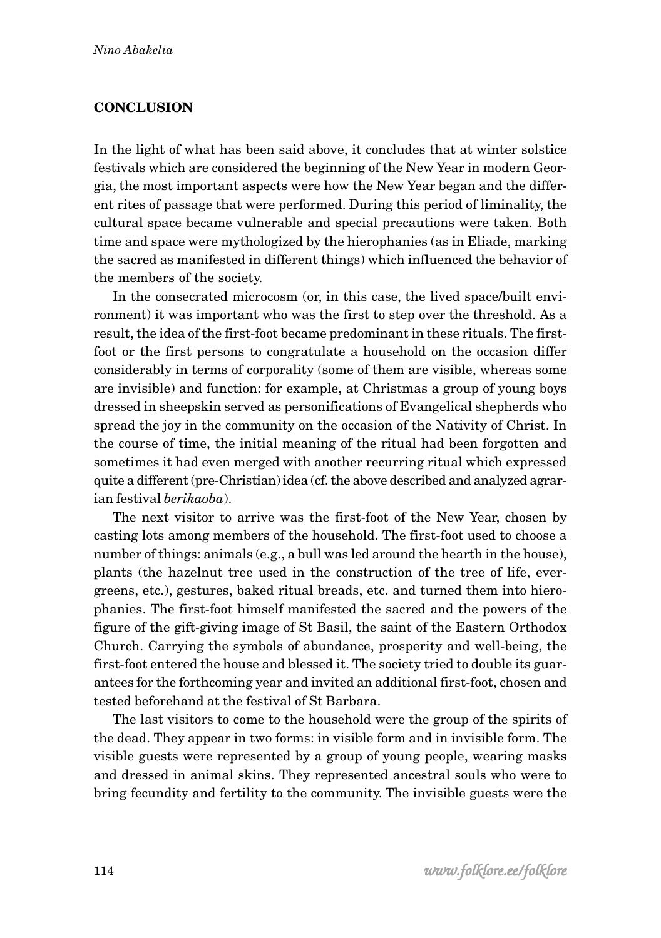# **CONCLUSION**

In the light of what has been said above, it concludes that at winter solstice festivals which are considered the beginning of the New Year in modern Georgia, the most important aspects were how the New Year began and the different rites of passage that were performed. During this period of liminality, the cultural space became vulnerable and special precautions were taken. Both time and space were mythologized by the hierophanies (as in Eliade, marking the sacred as manifested in different things) which influenced the behavior of the members of the society.

In the consecrated microcosm (or, in this case, the lived space/built environment) it was important who was the first to step over the threshold. As a result, the idea of the first-foot became predominant in these rituals. The firstfoot or the first persons to congratulate a household on the occasion differ considerably in terms of corporality (some of them are visible, whereas some are invisible) and function: for example, at Christmas a group of young boys dressed in sheepskin served as personifications of Evangelical shepherds who spread the joy in the community on the occasion of the Nativity of Christ. In the course of time, the initial meaning of the ritual had been forgotten and sometimes it had even merged with another recurring ritual which expressed quite a different (pre-Christian) idea (cf. the above described and analyzed agrarian festival *berikaoba*).

The next visitor to arrive was the first-foot of the New Year, chosen by casting lots among members of the household. The first-foot used to choose a number of things: animals (e.g., a bull was led around the hearth in the house), plants (the hazelnut tree used in the construction of the tree of life, evergreens, etc.), gestures, baked ritual breads, etc. and turned them into hierophanies. The first-foot himself manifested the sacred and the powers of the figure of the gift-giving image of St Basil, the saint of the Eastern Orthodox Church. Carrying the symbols of abundance, prosperity and well-being, the first-foot entered the house and blessed it. The society tried to double its guarantees for the forthcoming year and invited an additional first-foot, chosen and tested beforehand at the festival of St Barbara.

The last visitors to come to the household were the group of the spirits of the dead. They appear in two forms: in visible form and in invisible form. The visible guests were represented by a group of young people, wearing masks and dressed in animal skins. They represented ancestral souls who were to bring fecundity and fertility to the community. The invisible guests were the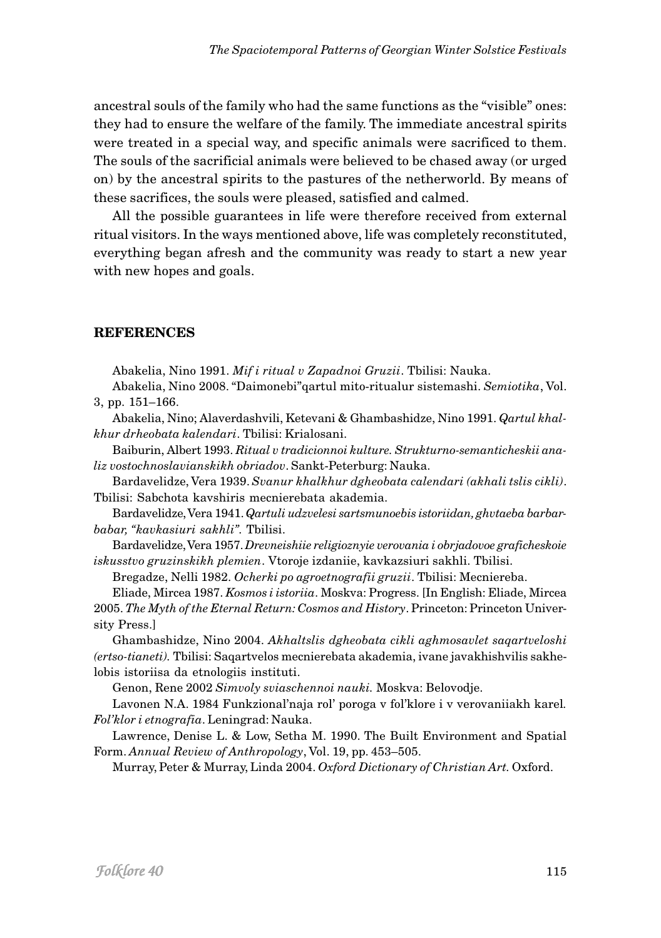ancestral souls of the family who had the same functions as the "visible" ones: they had to ensure the welfare of the family. The immediate ancestral spirits were treated in a special way, and specific animals were sacrificed to them. The souls of the sacrificial animals were believed to be chased away (or urged on) by the ancestral spirits to the pastures of the netherworld. By means of these sacrifices, the souls were pleased, satisfied and calmed.

All the possible guarantees in life were therefore received from external ritual visitors. In the ways mentioned above, life was completely reconstituted, everything began afresh and the community was ready to start a new year with new hopes and goals.

### **REFERENCES**

Abakelia, Nino 1991. *Mif i ritual v Zapadnoi Gruzii*. Tbilisi: Nauka.

Abakelia, Nino 2008. "Daimonebi"qartul mito-ritualur sistemashi. *Semiotika*, Vol. 3, pp. 151–166.

Abakelia, Nino; Alaverdashvili, Ketevani & Ghambashidze, Nino 1991. *Qartul khalkhur drheobata kalendari*. Tbilisi: Krialosani.

Baiburin, Albert 1993. *Ritual v tradicionnoi kulture. Strukturno-semanticheskii analiz vostochnoslavianskikh obriadov*. Sankt-Peterburg: Nauka.

Bardavelidze, Vera 1939. *Svanur khalkhur dgheobata calendari (akhali tslis cikli)*. Tbilisi: Sabchota kavshiris mecnierebata akademia.

Bardavelidze, Vera 1941. *Qartuli udzvelesi sartsmunoebis istoriidan, ghvtaeba barbarbabar, "kavkasiuri sakhli".* Tbilisi.

Bardavelidze, Vera 1957. *Drevneishiie religioznyie verovania i obrjadovoe graficheskoie iskusstvo gruzinskikh plemien*. Vtoroje izdaniie, kavkazsiuri sakhli. Tbilisi.

Bregadze, Nelli 1982. *Ocherki po agroetnografii gruzii*. Tbilisi: Mecniereba.

Eliade, Mircea 1987. *Kosmos i istoriia*. Moskva: Progress. [In English: Eliade, Mircea 2005. *The Myth of the Eternal Return: Cosmos and History*. Princeton: Princeton University Press.]

Ghambashidze, Nino 2004. *Akhaltslis dgheobata cikli aghmosavlet saqartveloshi (ertso-tianeti).* Tbilisi: Saqartvelos mecnierebata akademia, ivane javakhishvilis sakhelobis istoriisa da etnologiis instituti.

Genon, Rene 2002 *Simvoly sviaschennoi nauki.* Moskva: Belovodje.

Lavonen N.A. 1984 Funkzional'naja rol' poroga v fol'klore i v verovaniiakh karel*. Fol'klor i etnografia*. Leningrad: Nauka.

Lawrence, Denise L. & Low, Setha M. 1990. The Built Environment and Spatial Form. *Annual Review of Anthropology*, Vol. 19, pp. 453–505.

Murray, Peter & Murray, Linda 2004. *Oxford Dictionary of Christian Art.* Oxford.